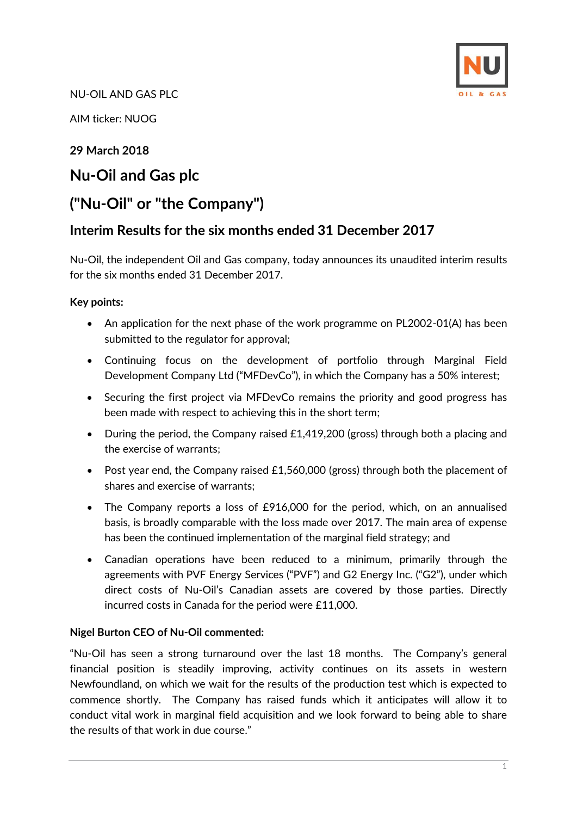

NU-OIL AND GAS PLC

AIM ticker: NUOG

# **29 March 2018**

# **Nu-Oil and Gas plc**

# **("Nu-Oil" or "the Company")**

# **Interim Results for the six months ended 31 December 2017**

Nu-Oil, the independent Oil and Gas company, today announces its unaudited interim results for the six months ended 31 December 2017.

### **Key points:**

- An application for the next phase of the work programme on PL2002-01(A) has been submitted to the regulator for approval;
- Continuing focus on the development of portfolio through Marginal Field Development Company Ltd ("MFDevCo"), in which the Company has a 50% interest;
- Securing the first project via MFDevCo remains the priority and good progress has been made with respect to achieving this in the short term;
- During the period, the Company raised £1,419,200 (gross) through both a placing and the exercise of warrants;
- Post year end, the Company raised £1,560,000 (gross) through both the placement of shares and exercise of warrants;
- The Company reports a loss of £916,000 for the period, which, on an annualised basis, is broadly comparable with the loss made over 2017. The main area of expense has been the continued implementation of the marginal field strategy; and
- Canadian operations have been reduced to a minimum, primarily through the agreements with PVF Energy Services ("PVF") and G2 Energy Inc. ("G2"), under which direct costs of Nu-Oil's Canadian assets are covered by those parties. Directly incurred costs in Canada for the period were £11,000.

### **Nigel Burton CEO of Nu-Oil commented:**

"Nu-Oil has seen a strong turnaround over the last 18 months. The Company's general financial position is steadily improving, activity continues on its assets in western Newfoundland, on which we wait for the results of the production test which is expected to commence shortly. The Company has raised funds which it anticipates will allow it to conduct vital work in marginal field acquisition and we look forward to being able to share the results of that work in due course."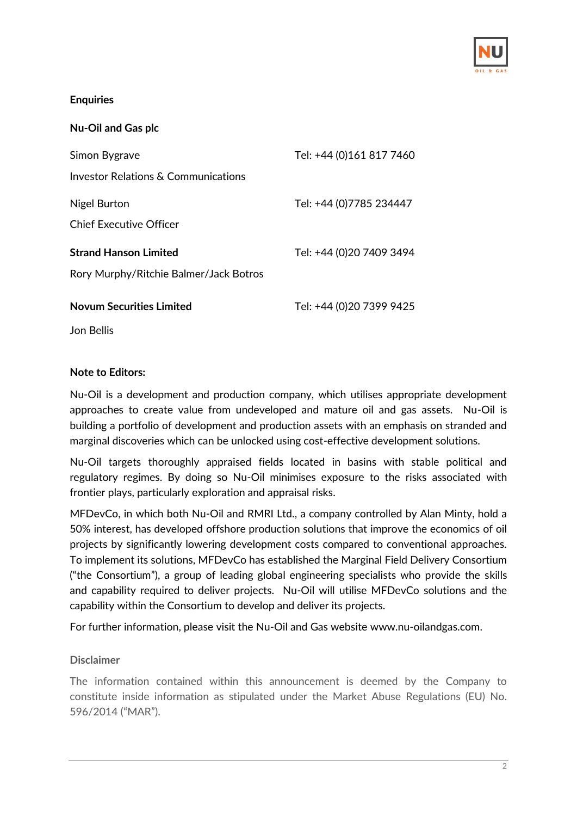

### **Enquiries**

| <b>Nu-Oil and Gas plc</b>              |                          |
|----------------------------------------|--------------------------|
| Simon Bygrave                          | Tel: +44 (0)161 817 7460 |
| Investor Relations & Communications    |                          |
| Nigel Burton                           | Tel: +44 (0)7785 234447  |
| <b>Chief Executive Officer</b>         |                          |
| <b>Strand Hanson Limited</b>           | Tel: +44 (0)20 7409 3494 |
| Rory Murphy/Ritchie Balmer/Jack Botros |                          |
| <b>Novum Securities Limited</b>        | Tel: +44 (0)20 7399 9425 |

Jon Bellis

### **Note to Editors:**

Nu-Oil is a development and production company, which utilises appropriate development approaches to create value from undeveloped and mature oil and gas assets. Nu-Oil is building a portfolio of development and production assets with an emphasis on stranded and marginal discoveries which can be unlocked using cost-effective development solutions.

Nu-Oil targets thoroughly appraised fields located in basins with stable political and regulatory regimes. By doing so Nu-Oil minimises exposure to the risks associated with frontier plays, particularly exploration and appraisal risks.

MFDevCo, in which both Nu-Oil and RMRI Ltd., a company controlled by Alan Minty, hold a 50% interest, has developed offshore production solutions that improve the economics of oil projects by significantly lowering development costs compared to conventional approaches. To implement its solutions, MFDevCo has established the Marginal Field Delivery Consortium ("the Consortium"), a group of leading global engineering specialists who provide the skills and capability required to deliver projects. Nu-Oil will utilise MFDevCo solutions and the capability within the Consortium to develop and deliver its projects.

For further information, please visit the Nu-Oil and Gas website [www.nu-oilandgas.com.](http://www.nu-oilandgas.com/)

### **Disclaimer**

The information contained within this announcement is deemed by the Company to constitute inside information as stipulated under the Market Abuse Regulations (EU) No. 596/2014 ("MAR").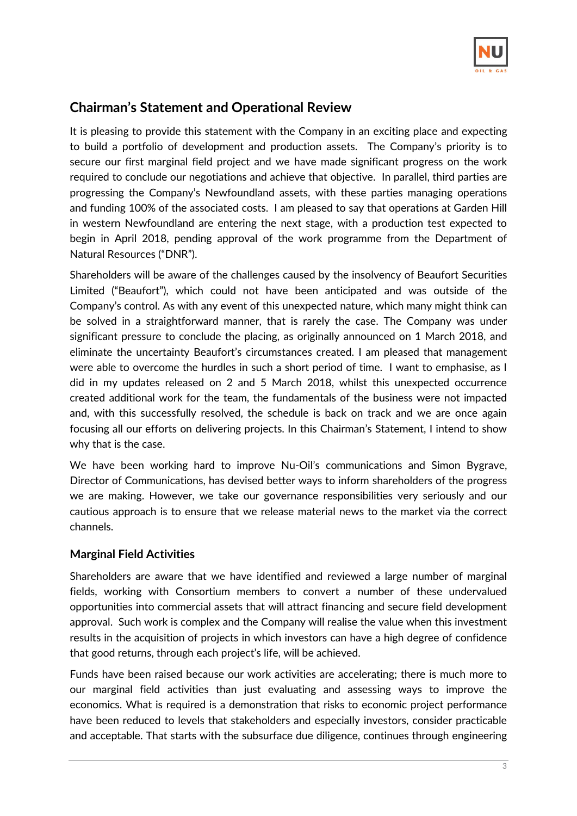

# **Chairman's Statement and Operational Review**

It is pleasing to provide this statement with the Company in an exciting place and expecting to build a portfolio of development and production assets. The Company's priority is to secure our first marginal field project and we have made significant progress on the work required to conclude our negotiations and achieve that objective. In parallel, third parties are progressing the Company's Newfoundland assets, with these parties managing operations and funding 100% of the associated costs. I am pleased to say that operations at Garden Hill in western Newfoundland are entering the next stage, with a production test expected to begin in April 2018, pending approval of the work programme from the Department of Natural Resources ("DNR").

Shareholders will be aware of the challenges caused by the insolvency of Beaufort Securities Limited ("Beaufort"), which could not have been anticipated and was outside of the Company's control. As with any event of this unexpected nature, which many might think can be solved in a straightforward manner, that is rarely the case. The Company was under significant pressure to conclude the placing, as originally announced on 1 March 2018, and eliminate the uncertainty Beaufort's circumstances created. I am pleased that management were able to overcome the hurdles in such a short period of time. I want to emphasise, as I did in my updates released on 2 and 5 March 2018, whilst this unexpected occurrence created additional work for the team, the fundamentals of the business were not impacted and, with this successfully resolved, the schedule is back on track and we are once again focusing all our efforts on delivering projects. In this Chairman's Statement, I intend to show why that is the case.

We have been working hard to improve Nu-Oil's communications and Simon Bygrave, Director of Communications, has devised better ways to inform shareholders of the progress we are making. However, we take our governance responsibilities very seriously and our cautious approach is to ensure that we release material news to the market via the correct channels.

## **Marginal Field Activities**

Shareholders are aware that we have identified and reviewed a large number of marginal fields, working with Consortium members to convert a number of these undervalued opportunities into commercial assets that will attract financing and secure field development approval. Such work is complex and the Company will realise the value when this investment results in the acquisition of projects in which investors can have a high degree of confidence that good returns, through each project's life, will be achieved.

Funds have been raised because our work activities are accelerating; there is much more to our marginal field activities than just evaluating and assessing ways to improve the economics. What is required is a demonstration that risks to economic project performance have been reduced to levels that stakeholders and especially investors, consider practicable and acceptable. That starts with the subsurface due diligence, continues through engineering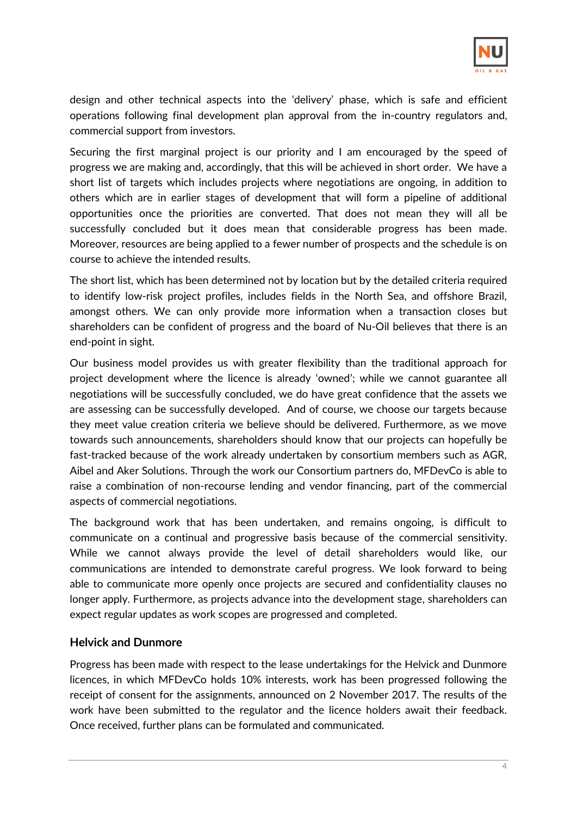

design and other technical aspects into the 'delivery' phase, which is safe and efficient operations following final development plan approval from the in-country regulators and, commercial support from investors.

Securing the first marginal project is our priority and I am encouraged by the speed of progress we are making and, accordingly, that this will be achieved in short order. We have a short list of targets which includes projects where negotiations are ongoing, in addition to others which are in earlier stages of development that will form a pipeline of additional opportunities once the priorities are converted. That does not mean they will all be successfully concluded but it does mean that considerable progress has been made. Moreover, resources are being applied to a fewer number of prospects and the schedule is on course to achieve the intended results.

The short list, which has been determined not by location but by the detailed criteria required to identify low-risk project profiles, includes fields in the North Sea, and offshore Brazil, amongst others. We can only provide more information when a transaction closes but shareholders can be confident of progress and the board of Nu-Oil believes that there is an end-point in sight.

Our business model provides us with greater flexibility than the traditional approach for project development where the licence is already 'owned'; while we cannot guarantee all negotiations will be successfully concluded, we do have great confidence that the assets we are assessing can be successfully developed. And of course, we choose our targets because they meet value creation criteria we believe should be delivered. Furthermore, as we move towards such announcements, shareholders should know that our projects can hopefully be fast-tracked because of the work already undertaken by consortium members such as AGR, Aibel and Aker Solutions. Through the work our Consortium partners do, MFDevCo is able to raise a combination of non-recourse lending and vendor financing, part of the commercial aspects of commercial negotiations.

The background work that has been undertaken, and remains ongoing, is difficult to communicate on a continual and progressive basis because of the commercial sensitivity. While we cannot always provide the level of detail shareholders would like, our communications are intended to demonstrate careful progress. We look forward to being able to communicate more openly once projects are secured and confidentiality clauses no longer apply. Furthermore, as projects advance into the development stage, shareholders can expect regular updates as work scopes are progressed and completed.

### **Helvick and Dunmore**

Progress has been made with respect to the lease undertakings for the Helvick and Dunmore licences, in which MFDevCo holds 10% interests, work has been progressed following the receipt of consent for the assignments, announced on 2 November 2017. The results of the work have been submitted to the regulator and the licence holders await their feedback. Once received, further plans can be formulated and communicated.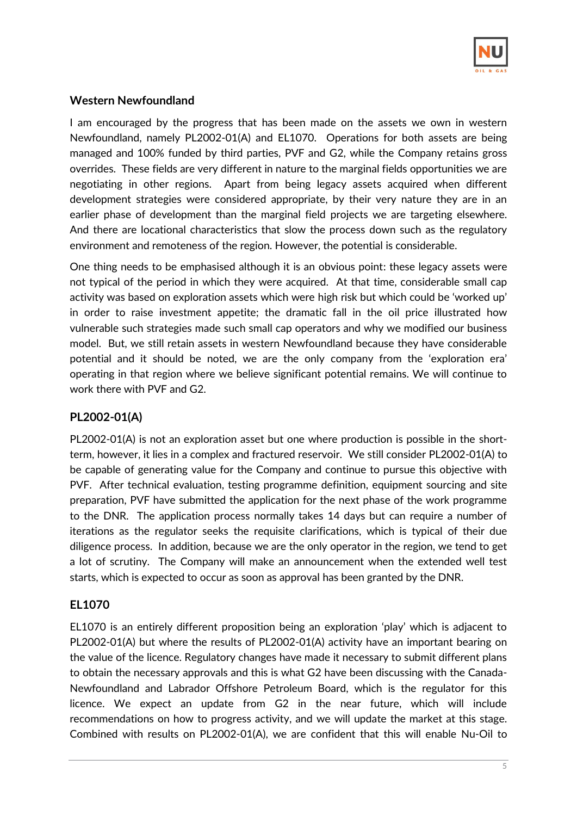

## **Western Newfoundland**

I am encouraged by the progress that has been made on the assets we own in western Newfoundland, namely PL2002-01(A) and EL1070. Operations for both assets are being managed and 100% funded by third parties, PVF and G2, while the Company retains gross overrides. These fields are very different in nature to the marginal fields opportunities we are negotiating in other regions. Apart from being legacy assets acquired when different development strategies were considered appropriate, by their very nature they are in an earlier phase of development than the marginal field projects we are targeting elsewhere. And there are locational characteristics that slow the process down such as the regulatory environment and remoteness of the region. However, the potential is considerable.

One thing needs to be emphasised although it is an obvious point: these legacy assets were not typical of the period in which they were acquired. At that time, considerable small cap activity was based on exploration assets which were high risk but which could be 'worked up' in order to raise investment appetite; the dramatic fall in the oil price illustrated how vulnerable such strategies made such small cap operators and why we modified our business model. But, we still retain assets in western Newfoundland because they have considerable potential and it should be noted, we are the only company from the 'exploration era' operating in that region where we believe significant potential remains. We will continue to work there with PVF and G2.

## **PL2002-01(A)**

PL2002-01(A) is not an exploration asset but one where production is possible in the shortterm, however, it lies in a complex and fractured reservoir. We still consider PL2002-01(A) to be capable of generating value for the Company and continue to pursue this objective with PVF. After technical evaluation, testing programme definition, equipment sourcing and site preparation, PVF have submitted the application for the next phase of the work programme to the DNR. The application process normally takes 14 days but can require a number of iterations as the regulator seeks the requisite clarifications, which is typical of their due diligence process. In addition, because we are the only operator in the region, we tend to get a lot of scrutiny. The Company will make an announcement when the extended well test starts, which is expected to occur as soon as approval has been granted by the DNR.

## **EL1070**

EL1070 is an entirely different proposition being an exploration 'play' which is adjacent to PL2002-01(A) but where the results of PL2002-01(A) activity have an important bearing on the value of the licence. Regulatory changes have made it necessary to submit different plans to obtain the necessary approvals and this is what G2 have been discussing with the Canada-Newfoundland and Labrador Offshore Petroleum Board, which is the regulator for this licence. We expect an update from G2 in the near future, which will include recommendations on how to progress activity, and we will update the market at this stage. Combined with results on PL2002-01(A), we are confident that this will enable Nu-Oil to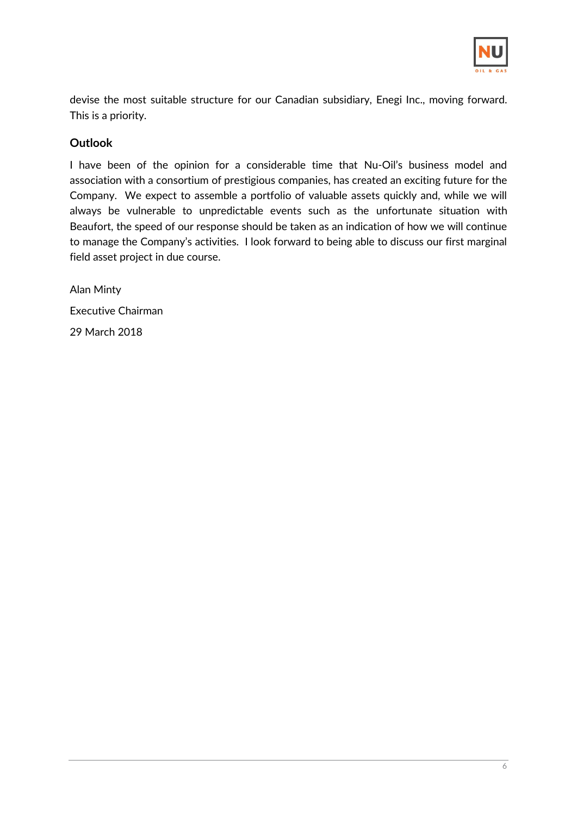

devise the most suitable structure for our Canadian subsidiary, Enegi Inc., moving forward. This is a priority.

## **Outlook**

I have been of the opinion for a considerable time that Nu-Oil's business model and association with a consortium of prestigious companies, has created an exciting future for the Company. We expect to assemble a portfolio of valuable assets quickly and, while we will always be vulnerable to unpredictable events such as the unfortunate situation with Beaufort, the speed of our response should be taken as an indication of how we will continue to manage the Company's activities. I look forward to being able to discuss our first marginal field asset project in due course.

Alan Minty Executive Chairman 29 March 2018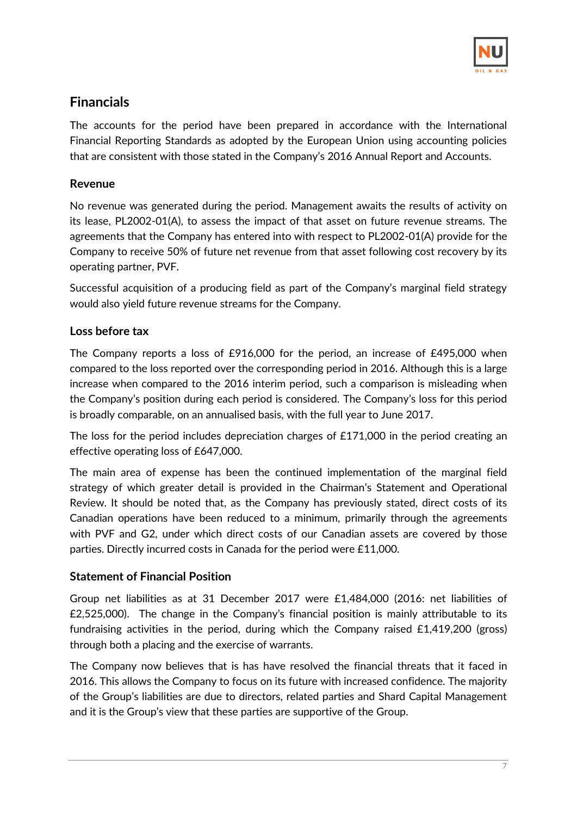

# **Financials**

The accounts for the period have been prepared in accordance with the International Financial Reporting Standards as adopted by the European Union using accounting policies that are consistent with those stated in the Company's 2016 Annual Report and Accounts.

## **Revenue**

No revenue was generated during the period. Management awaits the results of activity on its lease, PL2002-01(A), to assess the impact of that asset on future revenue streams. The agreements that the Company has entered into with respect to PL2002-01(A) provide for the Company to receive 50% of future net revenue from that asset following cost recovery by its operating partner, PVF.

Successful acquisition of a producing field as part of the Company's marginal field strategy would also yield future revenue streams for the Company.

# **Loss before tax**

The Company reports a loss of £916,000 for the period, an increase of £495,000 when compared to the loss reported over the corresponding period in 2016. Although this is a large increase when compared to the 2016 interim period, such a comparison is misleading when the Company's position during each period is considered. The Company's loss for this period is broadly comparable, on an annualised basis, with the full year to June 2017.

The loss for the period includes depreciation charges of £171,000 in the period creating an effective operating loss of £647,000.

The main area of expense has been the continued implementation of the marginal field strategy of which greater detail is provided in the Chairman's Statement and Operational Review. It should be noted that, as the Company has previously stated, direct costs of its Canadian operations have been reduced to a minimum, primarily through the agreements with PVF and G2, under which direct costs of our Canadian assets are covered by those parties. Directly incurred costs in Canada for the period were £11,000.

## **Statement of Financial Position**

Group net liabilities as at 31 December 2017 were £1,484,000 (2016: net liabilities of £2,525,000). The change in the Company's financial position is mainly attributable to its fundraising activities in the period, during which the Company raised £1,419,200 (gross) through both a placing and the exercise of warrants.

The Company now believes that is has have resolved the financial threats that it faced in 2016. This allows the Company to focus on its future with increased confidence. The majority of the Group's liabilities are due to directors, related parties and Shard Capital Management and it is the Group's view that these parties are supportive of the Group.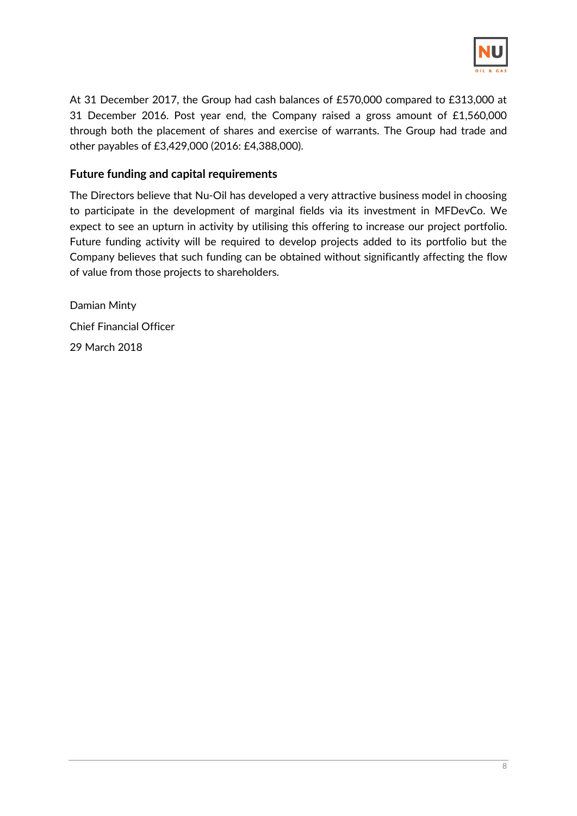

At 31 December 2017, the Group had cash balances of £570,000 compared to £313,000 at 31 December 2016. Post year end, the Company raised a gross amount of £1,560,000 through both the placement of shares and exercise of warrants. The Group had trade and other payables of £3,429,000 (2016: £4,388,000).

### **Future funding and capital requirements**

The Directors believe that Nu-Oil has developed a very attractive business model in choosing to participate in the development of marginal fields via its investment in MFDevCo. We expect to see an upturn in activity by utilising this offering to increase our project portfolio. Future funding activity will be required to develop projects added to its portfolio but the Company believes that such funding can be obtained without significantly affecting the flow of value from those projects to shareholders.

Damian Minty Chief Financial Officer 29 March 2018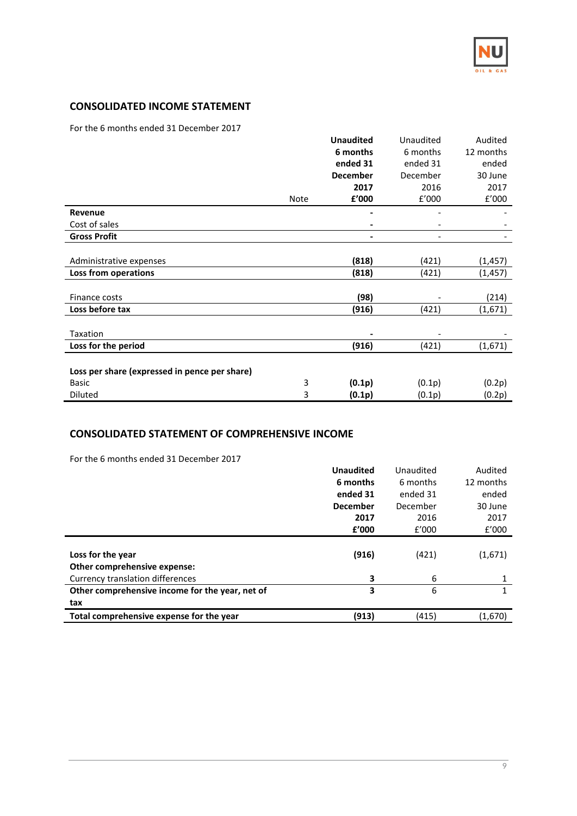

#### **CONSOLIDATED INCOME STATEMENT**

For the 6 months ended 31 December 2017

|                                               |      | <b>Unaudited</b> | Unaudited                | Audited   |
|-----------------------------------------------|------|------------------|--------------------------|-----------|
|                                               |      | 6 months         | 6 months                 | 12 months |
|                                               |      | ended 31         | ended 31                 | ended     |
|                                               |      | <b>December</b>  | December                 | 30 June   |
|                                               |      | 2017             | 2016                     | 2017      |
|                                               | Note | £'000            | f'000                    | f'000     |
| Revenue                                       |      |                  |                          |           |
| Cost of sales                                 |      |                  | $\overline{\phantom{a}}$ |           |
| <b>Gross Profit</b>                           |      | -                | $\overline{\phantom{a}}$ |           |
|                                               |      |                  |                          |           |
| Administrative expenses                       |      | (818)            | (421)                    | (1, 457)  |
| Loss from operations                          |      | (818)            | (421)                    | (1, 457)  |
|                                               |      |                  |                          |           |
| Finance costs                                 |      | (98)             |                          | (214)     |
| Loss before tax                               |      | (916)            | (421)                    | (1,671)   |
|                                               |      |                  |                          |           |
| Taxation                                      |      |                  | $\overline{\phantom{a}}$ |           |
| Loss for the period                           |      | (916)            | (421)                    | (1,671)   |
|                                               |      |                  |                          |           |
| Loss per share (expressed in pence per share) |      |                  |                          |           |
| <b>Basic</b>                                  | 3    | (0.1p)           | (0.1p)                   | (0.2p)    |
| Diluted                                       | 3    | (0.1p)           | (0.1p)                   | (0.2p)    |

#### **CONSOLIDATED STATEMENT OF COMPREHENSIVE INCOME**

For the 6 months ended 31 December 2017

|                                                 | <b>Unaudited</b> | Unaudited | Audited   |
|-------------------------------------------------|------------------|-----------|-----------|
|                                                 | 6 months         | 6 months  | 12 months |
|                                                 | ended 31         | ended 31  | ended     |
|                                                 | <b>December</b>  | December  | 30 June   |
|                                                 | 2017             | 2016      | 2017      |
|                                                 | f'000            | f'000     | f'000     |
|                                                 |                  |           |           |
| Loss for the year                               | (916)            | (421)     | (1,671)   |
| Other comprehensive expense:                    |                  |           |           |
| Currency translation differences                | 3                | 6         | 1         |
| Other comprehensive income for the year, net of | 3                | 6         | 1         |
| tax                                             |                  |           |           |
| Total comprehensive expense for the year        | (913)            | (415)     | (1,670)   |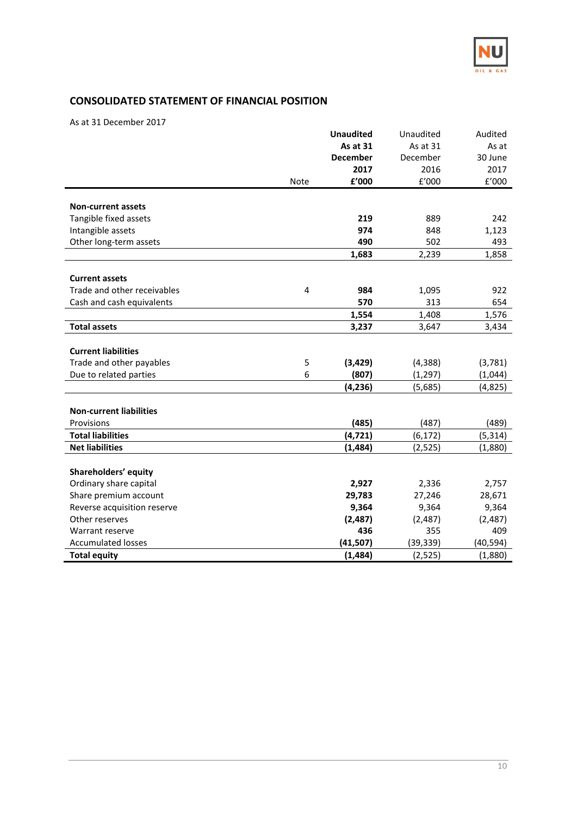

## **CONSOLIDATED STATEMENT OF FINANCIAL POSITION**

As at 31 December 2017

|                                |                | <b>Unaudited</b> | Unaudited        | Audited   |
|--------------------------------|----------------|------------------|------------------|-----------|
|                                |                | <b>As at 31</b>  | As at 31         | As at     |
|                                |                | <b>December</b>  | December         | 30 June   |
|                                |                | 2017             | 2016             | 2017      |
|                                | Note           | f'000            | $\texttt{f}'000$ | f'000     |
|                                |                |                  |                  |           |
| <b>Non-current assets</b>      |                |                  |                  |           |
| Tangible fixed assets          |                | 219              | 889              | 242       |
| Intangible assets              |                | 974              | 848              | 1,123     |
| Other long-term assets         |                | 490              | 502              | 493       |
|                                |                | 1,683            | 2,239            | 1,858     |
|                                |                |                  |                  |           |
| <b>Current assets</b>          |                |                  |                  |           |
| Trade and other receivables    | $\overline{4}$ | 984              | 1,095            | 922       |
| Cash and cash equivalents      |                | 570              | 313              | 654       |
|                                |                | 1,554            | 1,408            | 1,576     |
| <b>Total assets</b>            |                | 3,237            | 3,647            | 3,434     |
|                                |                |                  |                  |           |
| <b>Current liabilities</b>     |                |                  |                  |           |
| Trade and other payables       | 5              | (3,429)          | (4, 388)         | (3,781)   |
| Due to related parties         | 6              | (807)            | (1, 297)         | (1,044)   |
|                                |                | (4, 236)         | (5,685)          | (4,825)   |
|                                |                |                  |                  |           |
| <b>Non-current liabilities</b> |                |                  |                  |           |
| Provisions                     |                | (485)            | (487)            | (489)     |
| <b>Total liabilities</b>       |                | (4, 721)         | (6, 172)         | (5, 314)  |
| <b>Net liabilities</b>         |                | (1, 484)         | (2, 525)         | (1,880)   |
|                                |                |                  |                  |           |
| Shareholders' equity           |                |                  |                  |           |
| Ordinary share capital         |                | 2,927            | 2,336            | 2,757     |
| Share premium account          |                | 29,783           | 27,246           | 28,671    |
| Reverse acquisition reserve    |                | 9,364            | 9,364            | 9,364     |
| Other reserves                 |                | (2,487)          | (2,487)          | (2,487)   |
| Warrant reserve                |                | 436              | 355              | 409       |
| <b>Accumulated losses</b>      |                | (41, 507)        | (39, 339)        | (40, 594) |
| <b>Total equity</b>            |                | (1, 484)         | (2,525)          | (1,880)   |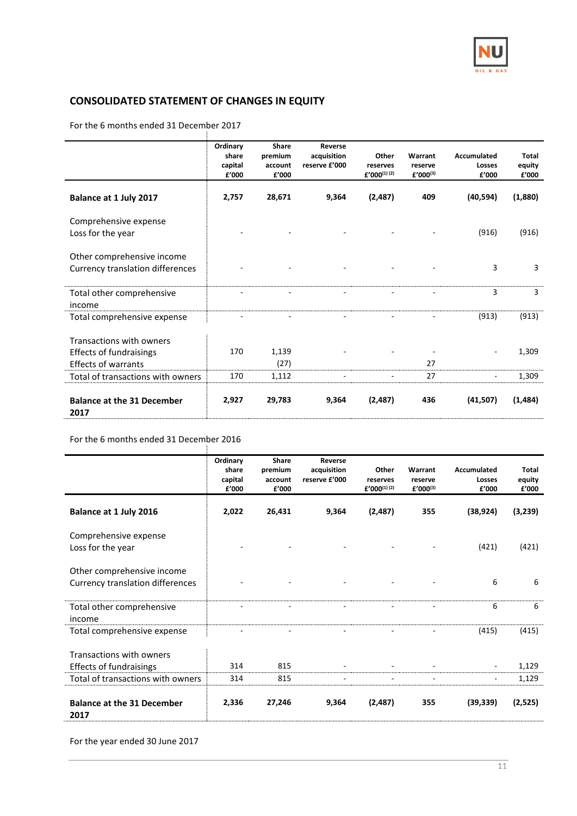

## **CONSOLIDATED STATEMENT OF CHANGES IN EQUITY**

For the 6 months ended 31 December 2017

|                                                                | Ordinary<br>share<br>capital<br>£'000 | <b>Share</b><br>premium<br>account<br>£'000 | Reverse<br>acquisition<br>reserve £'000 | Other<br>reserves<br>$f'000^{(1)(2)}$ | Warrant<br>reserve<br>$f'000^{(3)}$ | Accumulated<br>Losses<br>£'000 | Total<br>equity<br>£'000 |
|----------------------------------------------------------------|---------------------------------------|---------------------------------------------|-----------------------------------------|---------------------------------------|-------------------------------------|--------------------------------|--------------------------|
| Balance at 1 July 2017                                         | 2,757                                 | 28,671                                      | 9,364                                   | (2,487)                               | 409                                 | (40, 594)                      | (1,880)                  |
| Comprehensive expense<br>Loss for the year                     |                                       |                                             |                                         |                                       |                                     | (916)                          | (916)                    |
| Other comprehensive income<br>Currency translation differences |                                       |                                             |                                         |                                       |                                     | 3                              | 3                        |
| Total other comprehensive<br>income                            |                                       |                                             |                                         |                                       |                                     | 3                              | 3                        |
| Total comprehensive expense                                    |                                       |                                             |                                         |                                       |                                     | (913)                          | (913)                    |
| Transactions with owners                                       |                                       |                                             |                                         |                                       |                                     |                                |                          |
| <b>Effects of fundraisings</b>                                 | 170                                   | 1,139                                       |                                         |                                       |                                     |                                | 1,309                    |
| <b>Effects of warrants</b>                                     |                                       | (27)                                        |                                         |                                       | 27                                  |                                |                          |
| Total of transactions with owners                              | 170                                   | 1,112                                       |                                         |                                       | 27                                  |                                | 1,309                    |
| <b>Balance at the 31 December</b><br>2017                      | 2,927                                 | 29,783                                      | 9,364                                   | (2,487)                               | 436                                 | (41,507)                       | (1,484)                  |

#### For the 6 months ended 31 December 2016

|                                                                                                 | Ordinary<br>share<br>capital<br>£'000 | Share<br>premium<br>account<br>f'000 | Reverse<br>acquisition<br>reserve £'000 | Other<br>reserves<br>$f'000^{(1)(2)}$ | Warrant<br>reserve<br>$f'000^{(3)}$ | Accumulated<br>Losses<br>f'000 | Total<br>equity<br>£'000 |
|-------------------------------------------------------------------------------------------------|---------------------------------------|--------------------------------------|-----------------------------------------|---------------------------------------|-------------------------------------|--------------------------------|--------------------------|
| Balance at 1 July 2016                                                                          | 2,022                                 | 26,431                               | 9,364                                   | (2,487)                               | 355                                 | (38, 924)                      | (3,239)                  |
| Comprehensive expense<br>Loss for the year                                                      |                                       |                                      |                                         |                                       |                                     | (421)                          | (421)                    |
| Other comprehensive income<br><b>Currency translation differences</b>                           |                                       |                                      |                                         |                                       |                                     | 6                              | 6                        |
| Total other comprehensive<br>income                                                             |                                       |                                      |                                         |                                       |                                     | 6                              | 6                        |
| Total comprehensive expense                                                                     |                                       |                                      |                                         |                                       |                                     | (415)                          | (415)                    |
| Transactions with owners<br><b>Effects of fundraisings</b><br>Total of transactions with owners | 314<br>314                            | 815<br>815                           |                                         |                                       |                                     |                                | 1,129<br>1,129           |
| <b>Balance at the 31 December</b><br>2017                                                       | 2,336                                 | 27,246                               | 9,364                                   | (2,487)                               | 355                                 | (39, 339)                      | (2,525)                  |

For the year ended 30 June 2017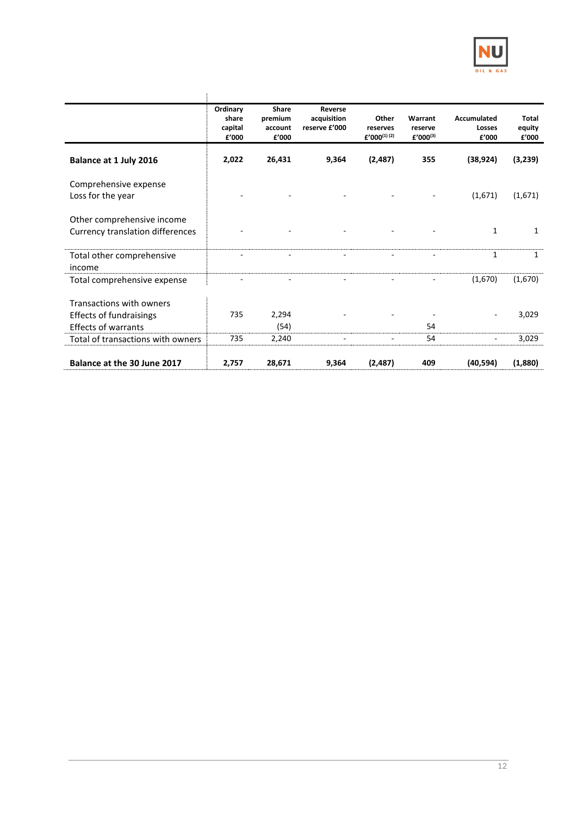

|                                                                                                                               | Ordinary<br>share<br>capital<br>£'000 | Share<br>premium<br>account<br>£'000 | Reverse<br>acquisition<br>reserve £'000 | Other<br>reserves<br>$f'000^{(1)(2)}$ | Warrant<br>reserve<br>$f'000^{(3)}$ | Accumulated<br>Losses<br>£'000 | Total<br>equity<br>£'000 |
|-------------------------------------------------------------------------------------------------------------------------------|---------------------------------------|--------------------------------------|-----------------------------------------|---------------------------------------|-------------------------------------|--------------------------------|--------------------------|
| Balance at 1 July 2016                                                                                                        | 2,022                                 | 26,431                               | 9,364                                   | (2,487)                               | 355                                 | (38, 924)                      | (3,239)                  |
| Comprehensive expense<br>Loss for the year                                                                                    |                                       |                                      |                                         |                                       |                                     | (1,671)                        | (1,671)                  |
| Other comprehensive income<br>Currency translation differences                                                                |                                       |                                      |                                         |                                       |                                     | 1                              | 1                        |
| Total other comprehensive<br>income                                                                                           |                                       |                                      |                                         |                                       | ٠                                   | $\mathbf{1}$                   | $\mathbf{1}$             |
| Total comprehensive expense                                                                                                   |                                       |                                      |                                         |                                       |                                     | (1,670)                        | (1,670)                  |
| Transactions with owners<br><b>Effects of fundraisings</b><br><b>Effects of warrants</b><br>Total of transactions with owners | 735<br>735                            | 2,294<br>(54)<br>2,240               |                                         |                                       | 54<br>54                            |                                | 3,029<br>3,029           |
| Balance at the 30 June 2017                                                                                                   | 2,757                                 | 28,671                               | 9,364                                   | (2,487)                               | 409                                 | (40, 594)                      | (1,880)                  |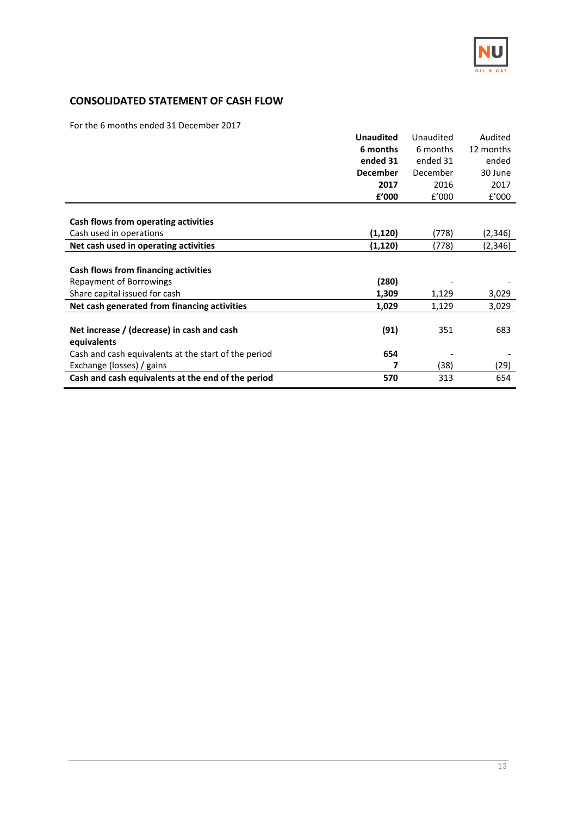

## **CONSOLIDATED STATEMENT OF CASH FLOW**

For the 6 months ended 31 December 2017

|                                                      | <b>Unaudited</b> | Unaudited | Audited   |
|------------------------------------------------------|------------------|-----------|-----------|
|                                                      | 6 months         | 6 months  | 12 months |
|                                                      | ended 31         | ended 31  | ended     |
|                                                      | <b>December</b>  | December  | 30 June   |
|                                                      | 2017             | 2016      | 2017      |
|                                                      | £'000            | f'000     | f'000     |
|                                                      |                  |           |           |
| Cash flows from operating activities                 |                  |           |           |
| Cash used in operations                              | (1, 120)         | (778)     | (2,346)   |
| Net cash used in operating activities                | (1, 120)         | (778)     | (2,346)   |
|                                                      |                  |           |           |
| Cash flows from financing activities                 |                  |           |           |
| <b>Repayment of Borrowings</b>                       | (280)            |           |           |
| Share capital issued for cash                        | 1,309            | 1,129     | 3,029     |
| Net cash generated from financing activities         | 1,029            | 1,129     | 3,029     |
|                                                      |                  |           |           |
| Net increase / (decrease) in cash and cash           | (91)             | 351       | 683       |
| equivalents                                          |                  |           |           |
| Cash and cash equivalents at the start of the period | 654              |           |           |
| Exchange (losses) / gains                            |                  | (38)      | (29)      |
| Cash and cash equivalents at the end of the period   | 570              | 313       | 654       |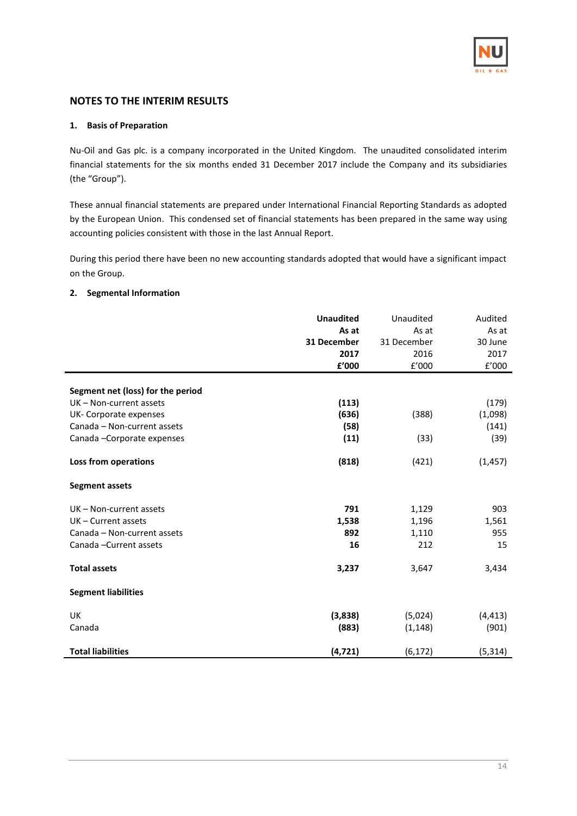

#### **NOTES TO THE INTERIM RESULTS**

#### **1. Basis of Preparation**

Nu-Oil and Gas plc. is a company incorporated in the United Kingdom. The unaudited consolidated interim financial statements for the six months ended 31 December 2017 include the Company and its subsidiaries (the "Group").

These annual financial statements are prepared under International Financial Reporting Standards as adopted by the European Union. This condensed set of financial statements has been prepared in the same way using accounting policies consistent with those in the last Annual Report.

During this period there have been no new accounting standards adopted that would have a significant impact on the Group.

#### **2. Segmental Information**

|                                   | <b>Unaudited</b><br>As at | Unaudited<br>As at | Audited<br>As at |
|-----------------------------------|---------------------------|--------------------|------------------|
|                                   | 31 December               | 31 December        | 30 June          |
|                                   | 2017                      | 2016               | 2017             |
|                                   |                           |                    |                  |
|                                   | £'000                     | E'000              | £'000            |
| Segment net (loss) for the period |                           |                    |                  |
| UK - Non-current assets           | (113)                     |                    | (179)            |
| UK- Corporate expenses            | (636)                     | (388)              | (1,098)          |
| Canada - Non-current assets       | (58)                      |                    | (141)            |
| Canada - Corporate expenses       | (11)                      | (33)               | (39)             |
|                                   |                           |                    |                  |
| <b>Loss from operations</b>       | (818)                     | (421)              | (1, 457)         |
| <b>Segment assets</b>             |                           |                    |                  |
| UK - Non-current assets           | 791                       | 1,129              | 903              |
| UK - Current assets               | 1,538                     | 1,196              | 1,561            |
| Canada - Non-current assets       | 892                       | 1,110              | 955              |
| Canada-Current assets             | 16                        | 212                | 15               |
| <b>Total assets</b>               | 3,237                     | 3,647              | 3,434            |
| <b>Segment liabilities</b>        |                           |                    |                  |
| <b>UK</b>                         | (3,838)                   | (5,024)            | (4, 413)         |
| Canada                            | (883)                     | (1, 148)           | (901)            |
| <b>Total liabilities</b>          | (4, 721)                  | (6, 172)           | (5, 314)         |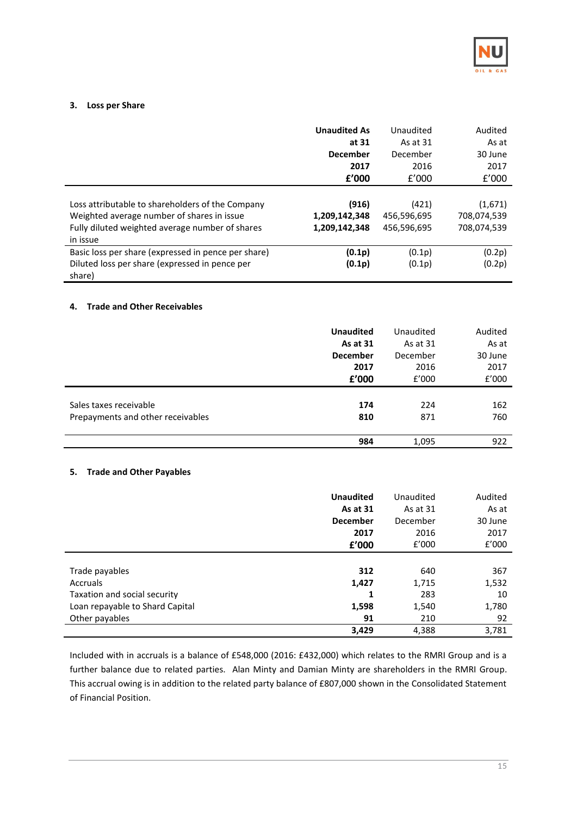

#### **3. Loss per Share**

|                                                                                                                                                               | <b>Unaudited As</b><br>at 31<br><b>December</b><br>2017<br>f'000 | Unaudited<br>As at 31<br>December<br>2016<br>f'000 | Audited<br>As at<br>30 June<br>2017<br>f'000 |
|---------------------------------------------------------------------------------------------------------------------------------------------------------------|------------------------------------------------------------------|----------------------------------------------------|----------------------------------------------|
|                                                                                                                                                               |                                                                  |                                                    |                                              |
| Loss attributable to shareholders of the Company<br>Weighted average number of shares in issue<br>Fully diluted weighted average number of shares<br>in issue | (916)<br>1,209,142,348<br>1,209,142,348                          | (421)<br>456,596,695<br>456,596,695                | (1,671)<br>708,074,539<br>708,074,539        |
| Basic loss per share (expressed in pence per share)                                                                                                           | (0.1p)                                                           | (0.1p)                                             | (0.2p)                                       |
| Diluted loss per share (expressed in pence per<br>share)                                                                                                      | (0.1p)                                                           | (0.1p)                                             | (0.2p)                                       |

#### **4. Trade and Other Receivables**

|                                   | <b>Unaudited</b> | Unaudited | Audited |
|-----------------------------------|------------------|-----------|---------|
|                                   | As at 31         | As at 31  | As at   |
|                                   | <b>December</b>  | December  | 30 June |
|                                   | 2017             | 2016      | 2017    |
|                                   | f'000            | £'000     | £'000   |
|                                   |                  |           |         |
| Sales taxes receivable            | 174              | 224       | 162     |
| Prepayments and other receivables | 810              | 871       | 760     |
|                                   |                  |           |         |
|                                   | 984              | 1,095     | 922     |
|                                   |                  |           |         |

#### **5. Trade and Other Payables**

|                                 | <b>Unaudited</b> | Unaudited | Audited |
|---------------------------------|------------------|-----------|---------|
|                                 | As at 31         | As at 31  | As at   |
|                                 | <b>December</b>  | December  | 30 June |
|                                 | 2017             | 2016      | 2017    |
|                                 | f'000            | f'000     | f'000   |
|                                 |                  |           |         |
| Trade payables                  | 312              | 640       | 367     |
| Accruals                        | 1,427            | 1,715     | 1,532   |
| Taxation and social security    | 1                | 283       | 10      |
| Loan repayable to Shard Capital | 1,598            | 1,540     | 1,780   |
| Other payables                  | 91               | 210       | 92      |
|                                 | 3,429            | 4,388     | 3,781   |

Included with in accruals is a balance of £548,000 (2016: £432,000) which relates to the RMRI Group and is a further balance due to related parties. Alan Minty and Damian Minty are shareholders in the RMRI Group. This accrual owing is in addition to the related party balance of £807,000 shown in the Consolidated Statement of Financial Position.